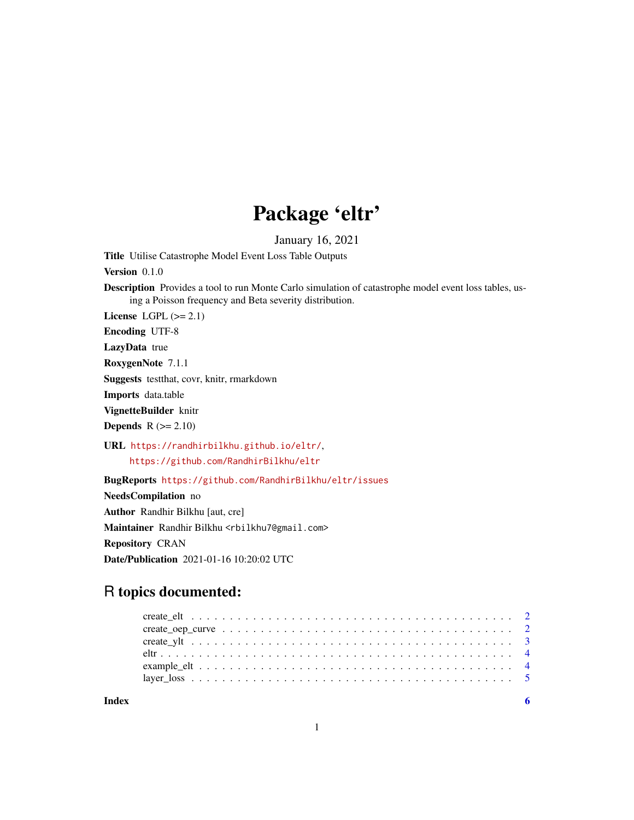# Package 'eltr'

January 16, 2021

Title Utilise Catastrophe Model Event Loss Table Outputs

Version 0.1.0

Description Provides a tool to run Monte Carlo simulation of catastrophe model event loss tables, using a Poisson frequency and Beta severity distribution.

License LGPL  $(>= 2.1)$ 

Encoding UTF-8

LazyData true

RoxygenNote 7.1.1

Suggests testthat, covr, knitr, rmarkdown

Imports data.table

VignetteBuilder knitr

**Depends**  $R$  ( $>= 2.10$ )

URL <https://randhirbilkhu.github.io/eltr/>, <https://github.com/RandhirBilkhu/eltr>

BugReports <https://github.com/RandhirBilkhu/eltr/issues>

NeedsCompilation no Author Randhir Bilkhu [aut, cre] Maintainer Randhir Bilkhu <rbilkhu7@gmail.com>

Repository CRAN

Date/Publication 2021-01-16 10:20:02 UTC

# R topics documented:

| Index |  |  |  |  |  |  |
|-------|--|--|--|--|--|--|
|       |  |  |  |  |  |  |
|       |  |  |  |  |  |  |
|       |  |  |  |  |  |  |
|       |  |  |  |  |  |  |
|       |  |  |  |  |  |  |
|       |  |  |  |  |  |  |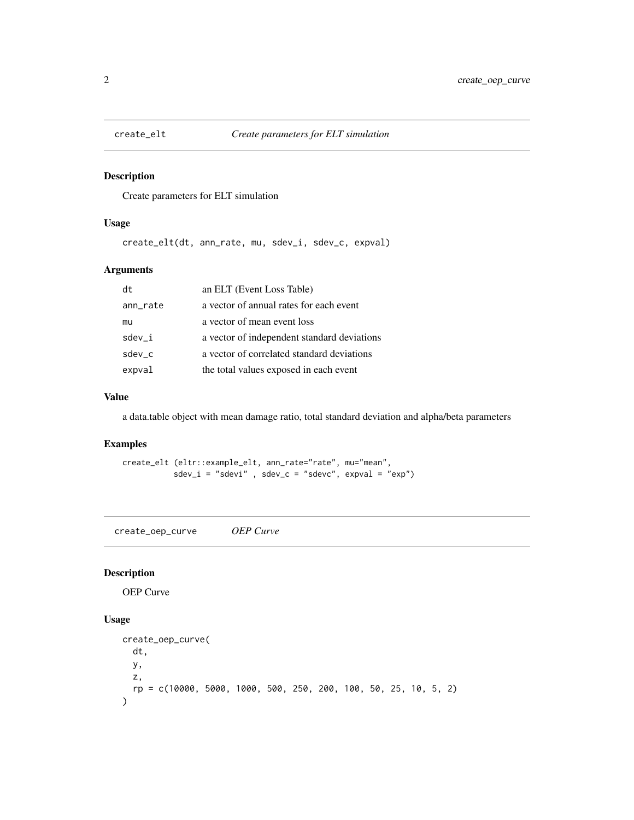<span id="page-1-0"></span>

#### Description

Create parameters for ELT simulation

#### Usage

create\_elt(dt, ann\_rate, mu, sdev\_i, sdev\_c, expval)

#### Arguments

| dt       | an ELT (Event Loss Table)                   |
|----------|---------------------------------------------|
| ann_rate | a vector of annual rates for each event     |
| mu       | a vector of mean event loss                 |
| $sdev_i$ | a vector of independent standard deviations |
| $sdev_c$ | a vector of correlated standard deviations  |
| expval   | the total values exposed in each event      |
|          |                                             |

#### Value

a data.table object with mean damage ratio, total standard deviation and alpha/beta parameters

# Examples

create\_elt (eltr::example\_elt, ann\_rate="rate", mu="mean",  $sdev_i = "sdev_i", sdev_c = "sdev_c", expval = "exp")$ 

create\_oep\_curve *OEP Curve*

#### Description

OEP Curve

#### Usage

```
create_oep_curve(
  dt,
  y,
  z,
  rp = c(10000, 5000, 1000, 500, 250, 200, 100, 50, 25, 10, 5, 2)
\mathcal{E}
```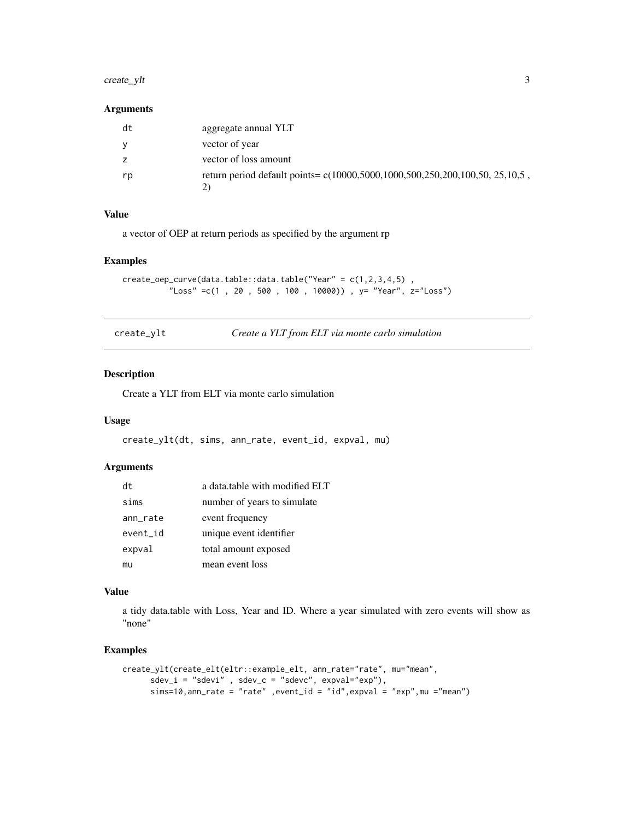#### <span id="page-2-0"></span>create\_ylt 3

#### Arguments

| dt | aggregate annual YLT                                                          |
|----|-------------------------------------------------------------------------------|
| V  | vector of year                                                                |
| Z  | vector of loss amount                                                         |
| rp | return period default points = c(10000,5000,1000,500,250,200,100,50, 25,10,5) |

#### Value

a vector of OEP at return periods as specified by the argument rp

#### Examples

```
create_oep_curve(data.table::data.table("Year" = c(1,2,3,4,5) ,
          "Loss" =c(1 , 20 , 500 , 100 , 10000)) , y= "Year", z="Loss")
```

| create_ylt | Create a YLT from ELT via monte carlo simulation |  |
|------------|--------------------------------------------------|--|
|------------|--------------------------------------------------|--|

#### Description

Create a YLT from ELT via monte carlo simulation

#### Usage

```
create_ylt(dt, sims, ann_rate, event_id, expval, mu)
```
#### Arguments

| dt       | a data.table with modified ELT |
|----------|--------------------------------|
| sims     | number of years to simulate    |
| ann_rate | event frequency                |
| event_id | unique event identifier        |
| expval   | total amount exposed           |
| mu       | mean event loss                |

#### Value

a tidy data.table with Loss, Year and ID. Where a year simulated with zero events will show as "none"

#### Examples

```
create_ylt(create_elt(eltr::example_elt, ann_rate="rate", mu="mean",
     sdev_i = "sdev_i", sdev_c = "sdev_c", expval="exp",sims=10,ann_rate = "rate" ,event_id = "id",expval = "exp",mu ="mean")
```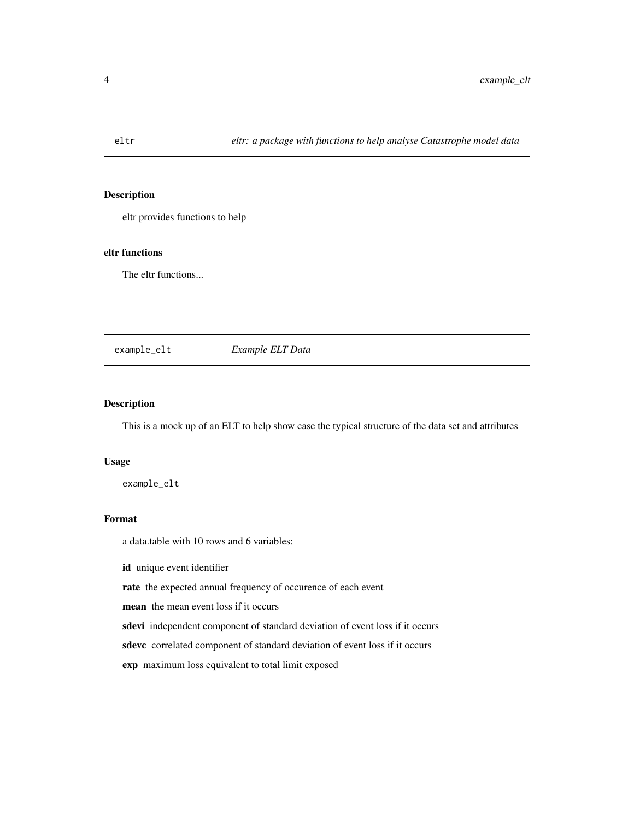<span id="page-3-0"></span>

#### Description

eltr provides functions to help

#### eltr functions

The eltr functions...

example\_elt *Example ELT Data*

#### **Description**

This is a mock up of an ELT to help show case the typical structure of the data set and attributes

#### Usage

example\_elt

#### Format

a data.table with 10 rows and 6 variables:

id unique event identifier

rate the expected annual frequency of occurence of each event

mean the mean event loss if it occurs

sdevi independent component of standard deviation of event loss if it occurs

sdevc correlated component of standard deviation of event loss if it occurs

exp maximum loss equivalent to total limit exposed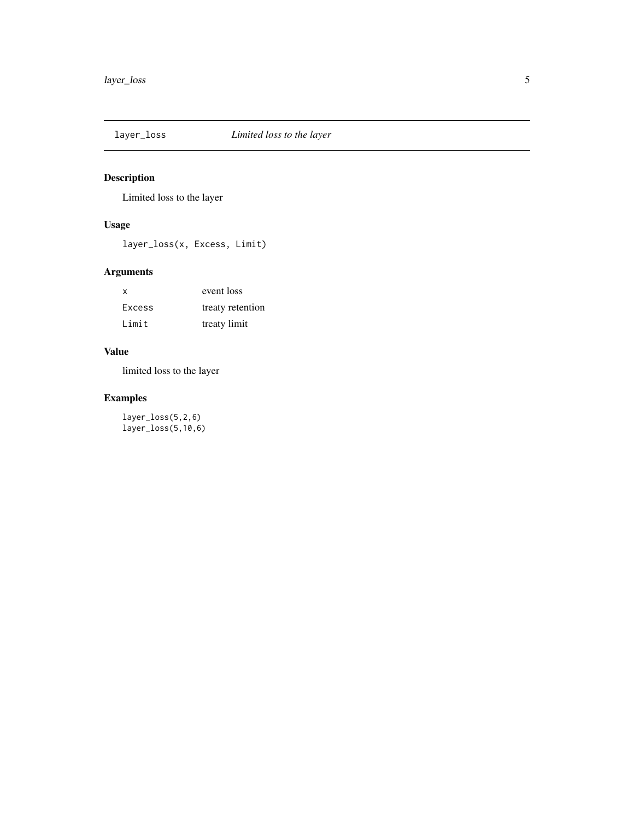<span id="page-4-0"></span>

# Description

Limited loss to the layer

#### Usage

layer\_loss(x, Excess, Limit)

# Arguments

| x             | event loss       |
|---------------|------------------|
| <b>Excess</b> | treaty retention |
| Limit         | treaty limit     |

#### Value

limited loss to the layer

# Examples

layer\_loss(5,2,6) layer\_loss(5,10,6)